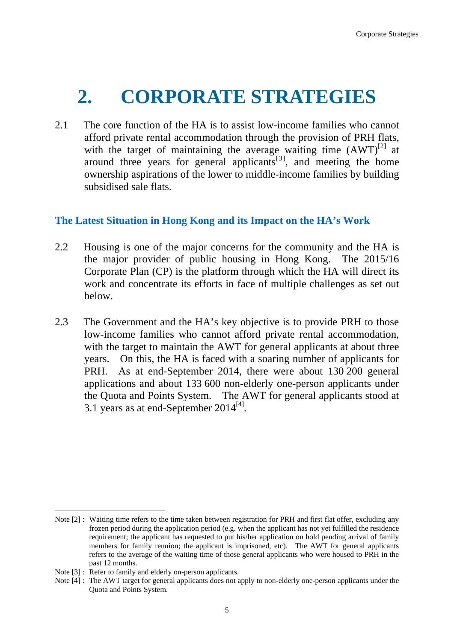## **2. CORPORATE STRATEGIES**

2.1 The core function of the HA is to assist low-income families who cannot afford private rental accommodation through the provision of PRH flats, with the target of maintaining the average waiting time  $(AWT)^{[2]}$  at around three years for general applicants<sup>[3]</sup>, and meeting the home ownership aspirations of the lower to middle-income families by building subsidised sale flats.

## **The Latest Situation in Hong Kong and its Impact on the HA's Work**

- 2.2 Housing is one of the major concerns for the community and the HA is the major provider of public housing in Hong Kong. The 2015/16 Corporate Plan (CP) is the platform through which the HA will direct its work and concentrate its efforts in face of multiple challenges as set out below.
- 2.3 The Government and the HA's key objective is to provide PRH to those low-income families who cannot afford private rental accommodation, with the target to maintain the AWT for general applicants at about three years. On this, the HA is faced with a soaring number of applicants for PRH. As at end-September 2014, there were about 130 200 general applications and about 133 600 non-elderly one-person applicants under the Quota and Points System. The AWT for general applicants stood at 3.1 years as at end-September  $2014^{[4]}$ .

1

Note [2] : Waiting time refers to the time taken between registration for PRH and first flat offer, excluding any frozen period during the application period (e.g. when the applicant has not yet fulfilled the residence requirement; the applicant has requested to put his/her application on hold pending arrival of family members for family reunion; the applicant is imprisoned, etc). The AWT for general applicants refers to the average of the waiting time of those general applicants who were housed to PRH in the past 12 months.

Note [3] : Refer to family and elderly on-person applicants.

Note [4] : The AWT target for general applicants does not apply to non-elderly one-person applicants under the Quota and Points System.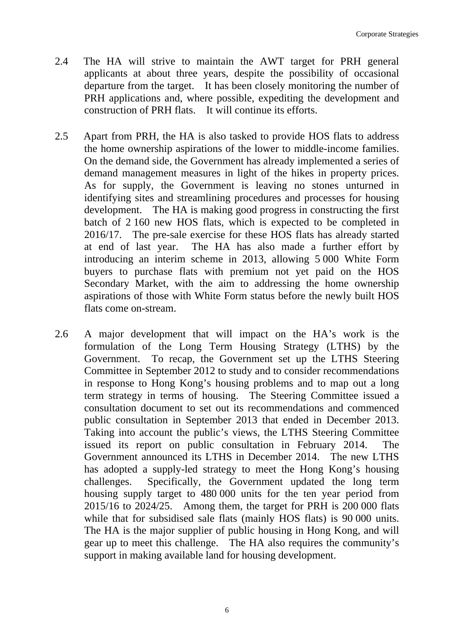- 2.4 The HA will strive to maintain the AWT target for PRH general applicants at about three years, despite the possibility of occasional departure from the target. It has been closely monitoring the number of PRH applications and, where possible, expediting the development and construction of PRH flats. It will continue its efforts.
- 2.5 Apart from PRH, the HA is also tasked to provide HOS flats to address the home ownership aspirations of the lower to middle-income families. On the demand side, the Government has already implemented a series of demand management measures in light of the hikes in property prices. As for supply, the Government is leaving no stones unturned in identifying sites and streamlining procedures and processes for housing development. The HA is making good progress in constructing the first batch of 2 160 new HOS flats, which is expected to be completed in 2016/17. The pre-sale exercise for these HOS flats has already started at end of last year. The HA has also made a further effort by introducing an interim scheme in 2013, allowing 5 000 White Form buyers to purchase flats with premium not yet paid on the HOS Secondary Market, with the aim to addressing the home ownership aspirations of those with White Form status before the newly built HOS flats come on-stream.
- 2.6 A major development that will impact on the HA's work is the formulation of the Long Term Housing Strategy (LTHS) by the Government. To recap, the Government set up the LTHS Steering Committee in September 2012 to study and to consider recommendations in response to Hong Kong's housing problems and to map out a long term strategy in terms of housing. The Steering Committee issued a consultation document to set out its recommendations and commenced public consultation in September 2013 that ended in December 2013. Taking into account the public's views, the LTHS Steering Committee issued its report on public consultation in February 2014. The Government announced its LTHS in December 2014. The new LTHS has adopted a supply-led strategy to meet the Hong Kong's housing challenges. Specifically, the Government updated the long term housing supply target to 480 000 units for the ten year period from 2015/16 to 2024/25. Among them, the target for PRH is 200 000 flats while that for subsidised sale flats (mainly HOS flats) is 90 000 units. The HA is the major supplier of public housing in Hong Kong, and will gear up to meet this challenge. The HA also requires the community's support in making available land for housing development.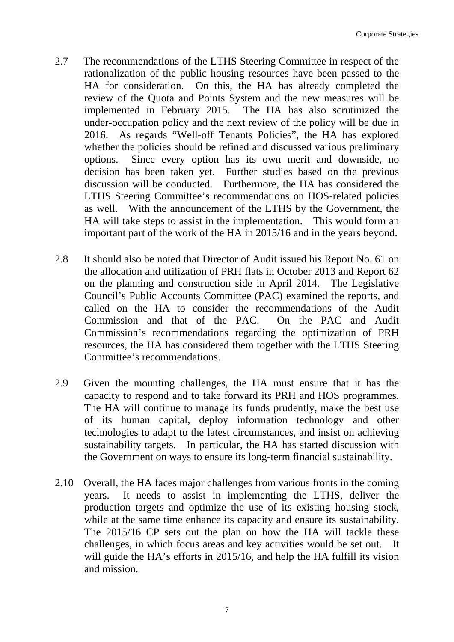- 2.7 The recommendations of the LTHS Steering Committee in respect of the rationalization of the public housing resources have been passed to the HA for consideration. On this, the HA has already completed the review of the Quota and Points System and the new measures will be implemented in February 2015. The HA has also scrutinized the under-occupation policy and the next review of the policy will be due in 2016. As regards "Well-off Tenants Policies", the HA has explored whether the policies should be refined and discussed various preliminary options. Since every option has its own merit and downside, no decision has been taken yet. Further studies based on the previous discussion will be conducted. Furthermore, the HA has considered the LTHS Steering Committee's recommendations on HOS-related policies as well. With the announcement of the LTHS by the Government, the HA will take steps to assist in the implementation. This would form an important part of the work of the HA in 2015/16 and in the years beyond.
- 2.8 It should also be noted that Director of Audit issued his Report No. 61 on the allocation and utilization of PRH flats in October 2013 and Report 62 on the planning and construction side in April 2014. The Legislative Council's Public Accounts Committee (PAC) examined the reports, and called on the HA to consider the recommendations of the Audit Commission and that of the PAC. On the PAC and Audit Commission's recommendations regarding the optimization of PRH resources, the HA has considered them together with the LTHS Steering Committee's recommendations.
- 2.9 Given the mounting challenges, the HA must ensure that it has the capacity to respond and to take forward its PRH and HOS programmes. The HA will continue to manage its funds prudently, make the best use of its human capital, deploy information technology and other technologies to adapt to the latest circumstances, and insist on achieving sustainability targets. In particular, the HA has started discussion with the Government on ways to ensure its long-term financial sustainability.
- 2.10 Overall, the HA faces major challenges from various fronts in the coming years. It needs to assist in implementing the LTHS, deliver the production targets and optimize the use of its existing housing stock, while at the same time enhance its capacity and ensure its sustainability. The 2015/16 CP sets out the plan on how the HA will tackle these challenges, in which focus areas and key activities would be set out. It will guide the HA's efforts in 2015/16, and help the HA fulfill its vision and mission.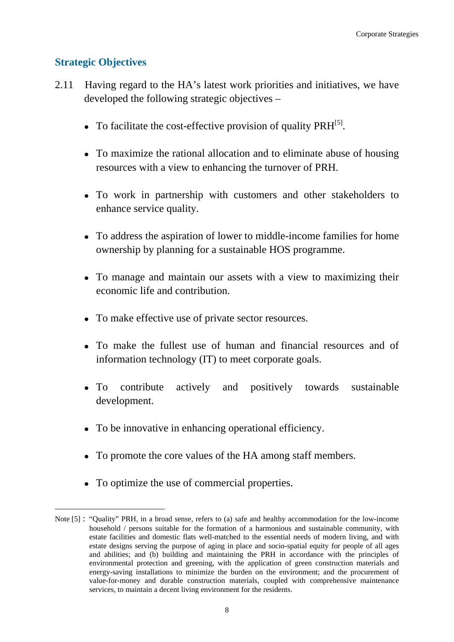## **Strategic Objectives**

1

- 2.11 Having regard to the HA's latest work priorities and initiatives, we have developed the following strategic objectives –
	- To facilitate the cost-effective provision of quality  $\text{PRH}^{[5]}$ .
	- To maximize the rational allocation and to eliminate abuse of housing resources with a view to enhancing the turnover of PRH.
	- To work in partnership with customers and other stakeholders to enhance service quality.
	- To address the aspiration of lower to middle-income families for home ownership by planning for a sustainable HOS programme.
	- To manage and maintain our assets with a view to maximizing their economic life and contribution.
	- To make effective use of private sector resources.
	- To make the fullest use of human and financial resources and of information technology (IT) to meet corporate goals.
	- To contribute actively and positively towards sustainable development.
	- To be innovative in enhancing operational efficiency.
	- To promote the core values of the HA among staff members.
	- To optimize the use of commercial properties.

Note [5] : "Quality" PRH, in a broad sense, refers to (a) safe and healthy accommodation for the low-income household / persons suitable for the formation of a harmonious and sustainable community, with estate facilities and domestic flats well-matched to the essential needs of modern living, and with estate designs serving the purpose of aging in place and socio-spatial equity for people of all ages and abilities; and (b) building and maintaining the PRH in accordance with the principles of environmental protection and greening, with the application of green construction materials and energy-saving installations to minimize the burden on the environment; and the procurement of value-for-money and durable construction materials, coupled with comprehensive maintenance services, to maintain a decent living environment for the residents.